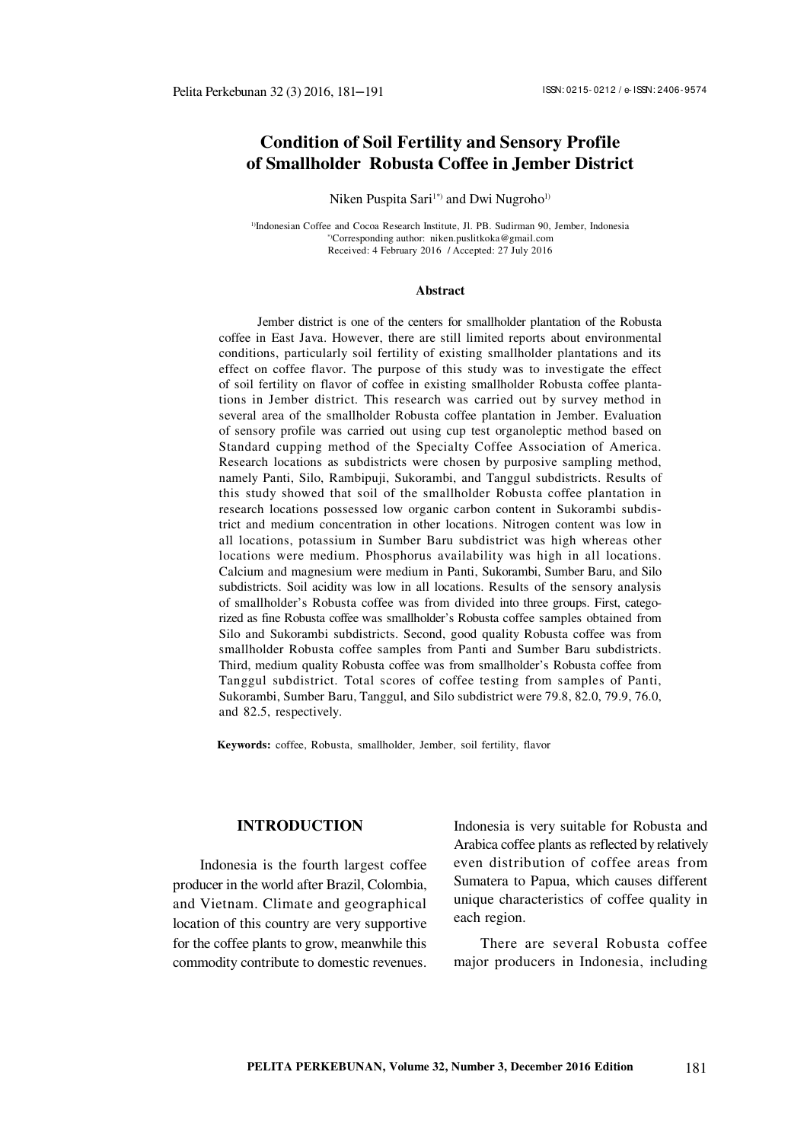# **Condition of Soil Fertility and Sensory Profile of Smallholder Robusta Coffee in Jember District**

Niken Puspita Sari<sup>1\*</sup>) and Dwi Nugroho<sup>1)</sup>

<sup>1)</sup>Indonesian Coffee and Cocoa Research Institute, Jl. PB. Sudirman 90, Jember, Indonesia \*)Corresponding author: [niken.puslitkoka@gmail.com](mailto:niken.puslitkoka@gmail.com) Received: 4 February 2016 / Accepted: 27 July 2016

#### **Abstract**

Jember district is one of the centers for smallholder plantation of the Robusta coffee in East Java. However, there are still limited reports about environmental conditions, particularly soil fertility of existing smallholder plantations and its effect on coffee flavor. The purpose of this study was to investigate the effect of soil fertility on flavor of coffee in existing smallholder Robusta coffee plantations in Jember district. This research was carried out by survey method in several area of the smallholder Robusta coffee plantation in Jember. Evaluation of sensory profile was carried out using cup test organoleptic method based on Standard cupping method of the Specialty Coffee Association of America. Research locations as subdistricts were chosen by purposive sampling method, namely Panti, Silo, Rambipuji, Sukorambi, and Tanggul subdistricts. Results of this study showed that soil of the smallholder Robusta coffee plantation in research locations possessed low organic carbon content in Sukorambi subdistrict and medium concentration in other locations. Nitrogen content was low in all locations, potassium in Sumber Baru subdistrict was high whereas other locations were medium. Phosphorus availability was high in all locations. Calcium and magnesium were medium in Panti, Sukorambi, Sumber Baru, and Silo subdistricts. Soil acidity was low in all locations. Results of the sensory analysis of smallholder's Robusta coffee was from divided into three groups. First, categorized as fine Robusta coffee was smallholder's Robusta coffee samples obtained from Silo and Sukorambi subdistricts. Second, good quality Robusta coffee was from smallholder Robusta coffee samples from Panti and Sumber Baru subdistricts. Third, medium quality Robusta coffee was from smallholder's Robusta coffee from Tanggul subdistrict. Total scores of coffee testing from samples of Panti, Sukorambi, Sumber Baru, Tanggul, and Silo subdistrict were 79.8, 82.0, 79.9, 76.0, and 82.5, respectively.

**Keywords:** coffee, Robusta, smallholder, Jember, soil fertility, flavor

## **INTRODUCTION**

Indonesia is the fourth largest coffee producer in the world after Brazil, Colombia, and Vietnam. Climate and geographical location of this country are very supportive for the coffee plants to grow, meanwhile this commodity contribute to domestic revenues. Indonesia is very suitable for Robusta and Arabica coffee plants as reflected by relatively even distribution of coffee areas from Sumatera to Papua, which causes different unique characteristics of coffee quality in each region.

There are several Robusta coffee major producers in Indonesia, including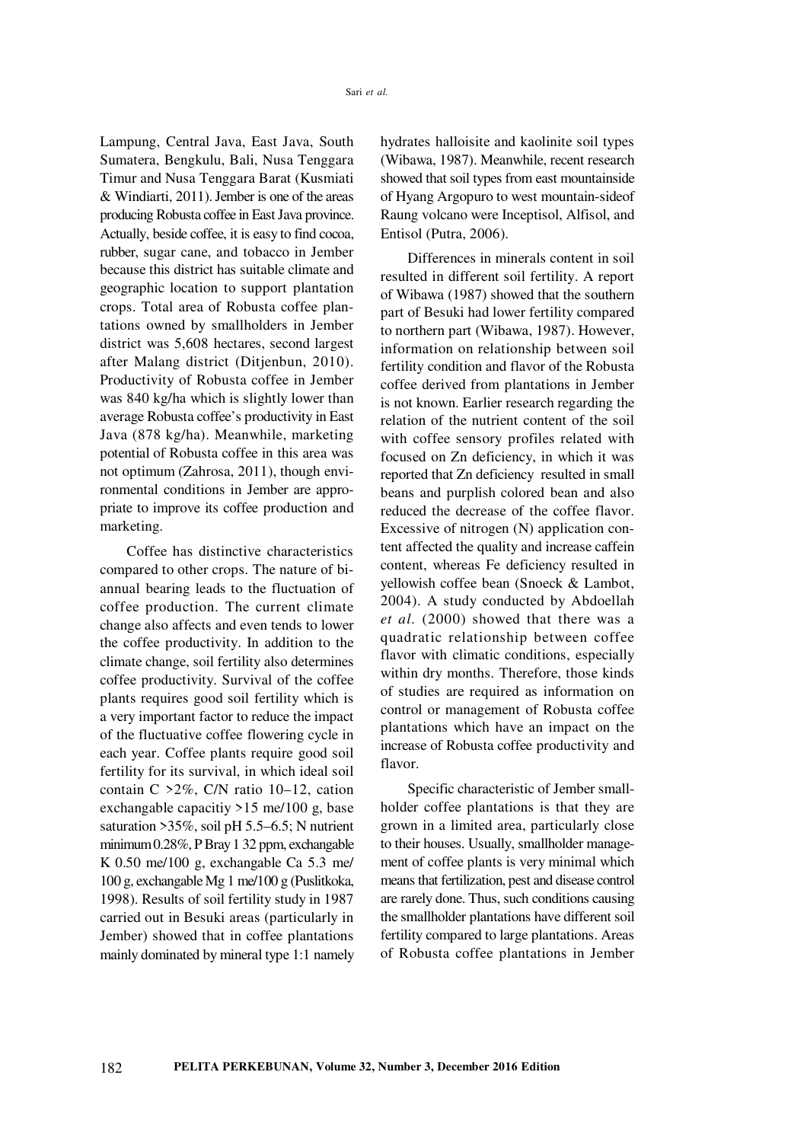Lampung, Central Java, East Java, South Sumatera, Bengkulu, Bali, Nusa Tenggara Timur and Nusa Tenggara Barat (Kusmiati & Windiarti, 2011). Jember is one of the areas producing Robusta coffee in East Java province. Actually, beside coffee, it is easy to find cocoa, rubber, sugar cane, and tobacco in Jember because this district has suitable climate and geographic location to support plantation crops. Total area of Robusta coffee plantations owned by smallholders in Jember district was 5,608 hectares, second largest after Malang district (Ditjenbun, 2010). Productivity of Robusta coffee in Jember was 840 kg/ha which is slightly lower than average Robusta coffee's productivity in East Java (878 kg/ha). Meanwhile, marketing potential of Robusta coffee in this area was not optimum (Zahrosa, 2011), though environmental conditions in Jember are appropriate to improve its coffee production and marketing.

Coffee has distinctive characteristics compared to other crops. The nature of biannual bearing leads to the fluctuation of coffee production. The current climate change also affects and even tends to lower the coffee productivity. In addition to the climate change, soil fertility also determines coffee productivity. Survival of the coffee plants requires good soil fertility which is a very important factor to reduce the impact of the fluctuative coffee flowering cycle in each year. Coffee plants require good soil fertility for its survival, in which ideal soil contain C >2%, C/N ratio 10–12, cation exchangable capacitiy >15 me/100 g, base saturation >35%, soil pH 5.5–6.5; N nutrient minimum 0.28%, P Bray 1 32 ppm, exchangable K 0.50 me/100 g, exchangable Ca 5.3 me/ 100 g, exchangable Mg 1 me/100 g (Puslitkoka, 1998). Results of soil fertility study in 1987 carried out in Besuki areas (particularly in Jember) showed that in coffee plantations mainly dominated by mineral type 1:1 namely hydrates halloisite and kaolinite soil types (Wibawa, 1987). Meanwhile, recent research showed that soil types from east mountainside of Hyang Argopuro to west mountain-sideof Raung volcano were Inceptisol, Alfisol, and Entisol (Putra, 2006).

Differences in minerals content in soil resulted in different soil fertility. A report of Wibawa (1987) showed that the southern part of Besuki had lower fertility compared to northern part (Wibawa, 1987). However, information on relationship between soil fertility condition and flavor of the Robusta coffee derived from plantations in Jember is not known. Earlier research regarding the relation of the nutrient content of the soil with coffee sensory profiles related with focused on Zn deficiency, in which it was reported that Zn deficiency resulted in small beans and purplish colored bean and also reduced the decrease of the coffee flavor. Excessive of nitrogen (N) application content affected the quality and increase caffein content, whereas Fe deficiency resulted in yellowish coffee bean (Snoeck & Lambot, 2004). A study conducted by Abdoellah *et al.* (2000) showed that there was a quadratic relationship between coffee flavor with climatic conditions, especially within dry months. Therefore, those kinds of studies are required as information on control or management of Robusta coffee plantations which have an impact on the increase of Robusta coffee productivity and flavor.

Specific characteristic of Jember smallholder coffee plantations is that they are grown in a limited area, particularly close to their houses. Usually, smallholder management of coffee plants is very minimal which means that fertilization, pest and disease control are rarely done. Thus, such conditions causing the smallholder plantations have different soil fertility compared to large plantations. Areas of Robusta coffee plantations in Jember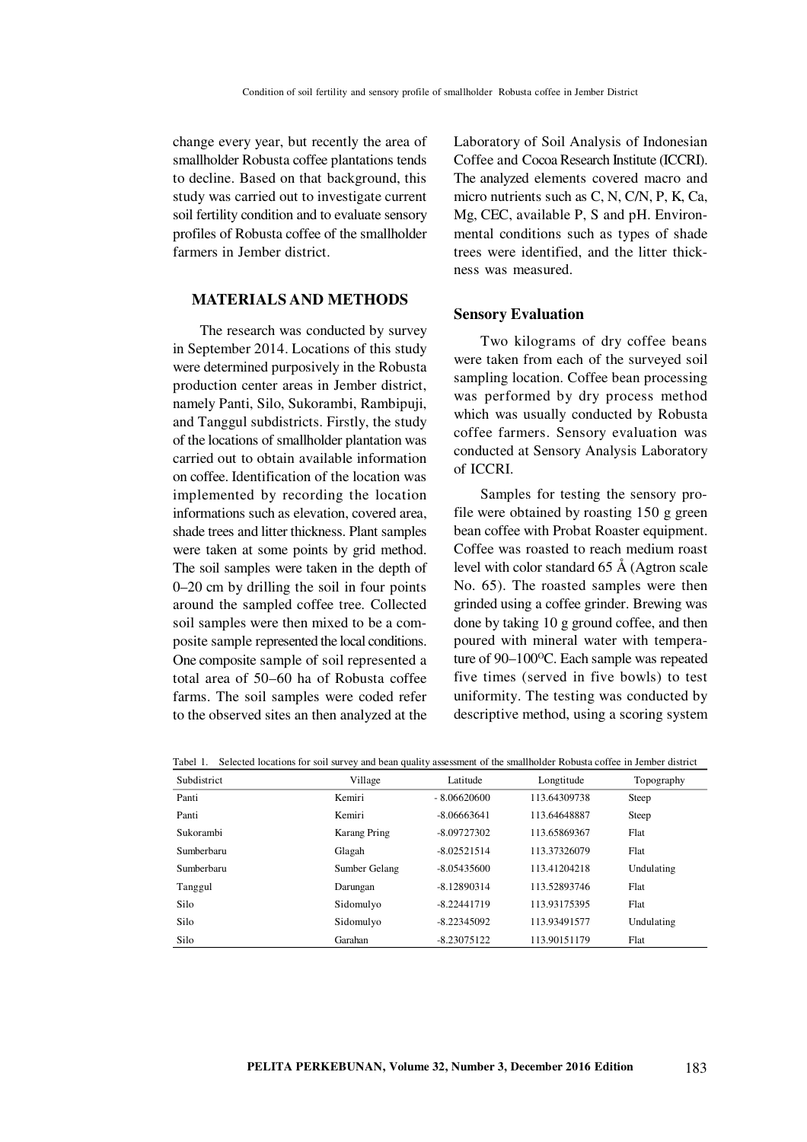change every year, but recently the area of smallholder Robusta coffee plantations tends to decline. Based on that background, this study was carried out to investigate current soil fertility condition and to evaluate sensory profiles of Robusta coffee of the smallholder farmers in Jember district.

### **MATERIALS AND METHODS**

The research was conducted by survey in September 2014. Locations of this study were determined purposively in the Robusta production center areas in Jember district, namely Panti, Silo, Sukorambi, Rambipuji, and Tanggul subdistricts. Firstly, the study of the locations of smallholder plantation was carried out to obtain available information on coffee. Identification of the location was implemented by recording the location informations such as elevation, covered area, shade trees and litter thickness. Plant samples were taken at some points by grid method. The soil samples were taken in the depth of 0–20 cm by drilling the soil in four points around the sampled coffee tree. Collected soil samples were then mixed to be a composite sample represented the local conditions. One composite sample of soil represented a total area of 50–60 ha of Robusta coffee farms. The soil samples were coded refer to the observed sites an then analyzed at the Laboratory of Soil Analysis of Indonesian Coffee and Cocoa Research Institute (ICCRI). The analyzed elements covered macro and micro nutrients such as C, N, C/N, P, K, Ca, Mg, CEC, available P, S and pH. Environmental conditions such as types of shade trees were identified, and the litter thickness was measured.

#### **Sensory Evaluation**

Two kilograms of dry coffee beans were taken from each of the surveyed soil sampling location. Coffee bean processing was performed by dry process method which was usually conducted by Robusta coffee farmers. Sensory evaluation was conducted at Sensory Analysis Laboratory of ICCRI.

Samples for testing the sensory profile were obtained by roasting 150 g green bean coffee with Probat Roaster equipment. Coffee was roasted to reach medium roast level with color standard 65 Å (Agtron scale No. 65). The roasted samples were then grinded using a coffee grinder. Brewing was done by taking 10 g ground coffee, and then poured with mineral water with temperature of 90–100°C. Each sample was repeated five times (served in five bowls) to test uniformity. The testing was conducted by descriptive method, using a scoring system

|  | Tabel 1. Selected locations for soil survey and bean quality assessment of the smallholder Robusta coffee in Jember district |
|--|------------------------------------------------------------------------------------------------------------------------------|
|  |                                                                                                                              |

| Subdistrict | Village             | Latitude      | Longtitude   | Topography |
|-------------|---------------------|---------------|--------------|------------|
| Panti       | Kemiri              | $-8.06620600$ | 113.64309738 | Steep      |
| Panti       | Kemiri              | $-8.06663641$ | 113.64648887 | Steep      |
| Sukorambi   | <b>Karang Pring</b> | $-8.09727302$ | 113.65869367 | Flat       |
| Sumberbaru  | Glagah              | $-8.02521514$ | 113.37326079 | Flat       |
| Sumberbaru  | Sumber Gelang       | $-8.05435600$ | 113.41204218 | Undulating |
| Tanggul     | Darungan            | $-8.12890314$ | 113.52893746 | Flat       |
| Silo        | Sidomulyo           | $-8.22441719$ | 113.93175395 | Flat       |
| Silo        | Sidomulyo           | $-8.22345092$ | 113.93491577 | Undulating |
| Silo        | Garahan             | $-8.23075122$ | 113.90151179 | Flat       |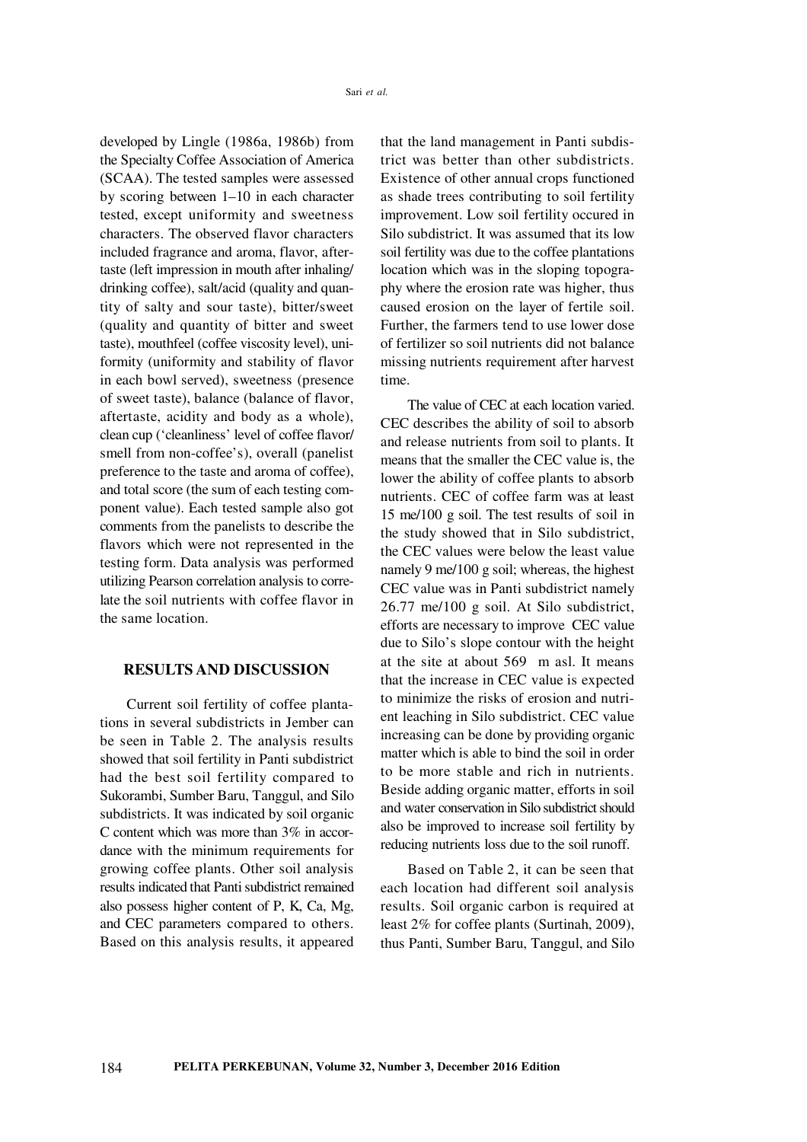developed by Lingle (1986a, 1986b) from the Specialty Coffee Association of America (SCAA). The tested samples were assessed by scoring between 1–10 in each character tested, except uniformity and sweetness characters. The observed flavor characters included fragrance and aroma, flavor, aftertaste (left impression in mouth after inhaling/ drinking coffee), salt/acid (quality and quantity of salty and sour taste), bitter/sweet (quality and quantity of bitter and sweet taste), mouthfeel (coffee viscosity level), uniformity (uniformity and stability of flavor in each bowl served), sweetness (presence of sweet taste), balance (balance of flavor, aftertaste, acidity and body as a whole), clean cup ('cleanliness' level of coffee flavor/ smell from non-coffee's), overall (panelist preference to the taste and aroma of coffee), and total score (the sum of each testing component value). Each tested sample also got comments from the panelists to describe the flavors which were not represented in the testing form. Data analysis was performed utilizing Pearson correlation analysis to correlate the soil nutrients with coffee flavor in the same location.

#### **RESULTS AND DISCUSSION**

Current soil fertility of coffee plantations in several subdistricts in Jember can be seen in Table 2. The analysis results showed that soil fertility in Panti subdistrict had the best soil fertility compared to Sukorambi, Sumber Baru, Tanggul, and Silo subdistricts. It was indicated by soil organic C content which was more than 3% in accordance with the minimum requirements for growing coffee plants. Other soil analysis results indicated that Panti subdistrict remained also possess higher content of P, K, Ca, Mg, and CEC parameters compared to others. Based on this analysis results, it appeared that the land management in Panti subdistrict was better than other subdistricts. Existence of other annual crops functioned as shade trees contributing to soil fertility improvement. Low soil fertility occured in Silo subdistrict. It was assumed that its low soil fertility was due to the coffee plantations location which was in the sloping topography where the erosion rate was higher, thus caused erosion on the layer of fertile soil. Further, the farmers tend to use lower dose of fertilizer so soil nutrients did not balance missing nutrients requirement after harvest time.

The value of CEC at each location varied. CEC describes the ability of soil to absorb and release nutrients from soil to plants. It means that the smaller the CEC value is, the lower the ability of coffee plants to absorb nutrients. CEC of coffee farm was at least 15 me/100 g soil. The test results of soil in the study showed that in Silo subdistrict, the CEC values were below the least value namely 9 me/100 g soil; whereas, the highest CEC value was in Panti subdistrict namely 26.77 me/100 g soil. At Silo subdistrict, efforts are necessary to improve CEC value due to Silo's slope contour with the height at the site at about 569 m asl. It means that the increase in CEC value is expected to minimize the risks of erosion and nutrient leaching in Silo subdistrict. CEC value increasing can be done by providing organic matter which is able to bind the soil in order to be more stable and rich in nutrients. Beside adding organic matter, efforts in soil and water conservation in Silo subdistrict should also be improved to increase soil fertility by reducing nutrients loss due to the soil runoff.

Based on Table 2, it can be seen that each location had different soil analysis results. Soil organic carbon is required at least 2% for coffee plants (Surtinah, 2009), thus Panti, Sumber Baru, Tanggul, and Silo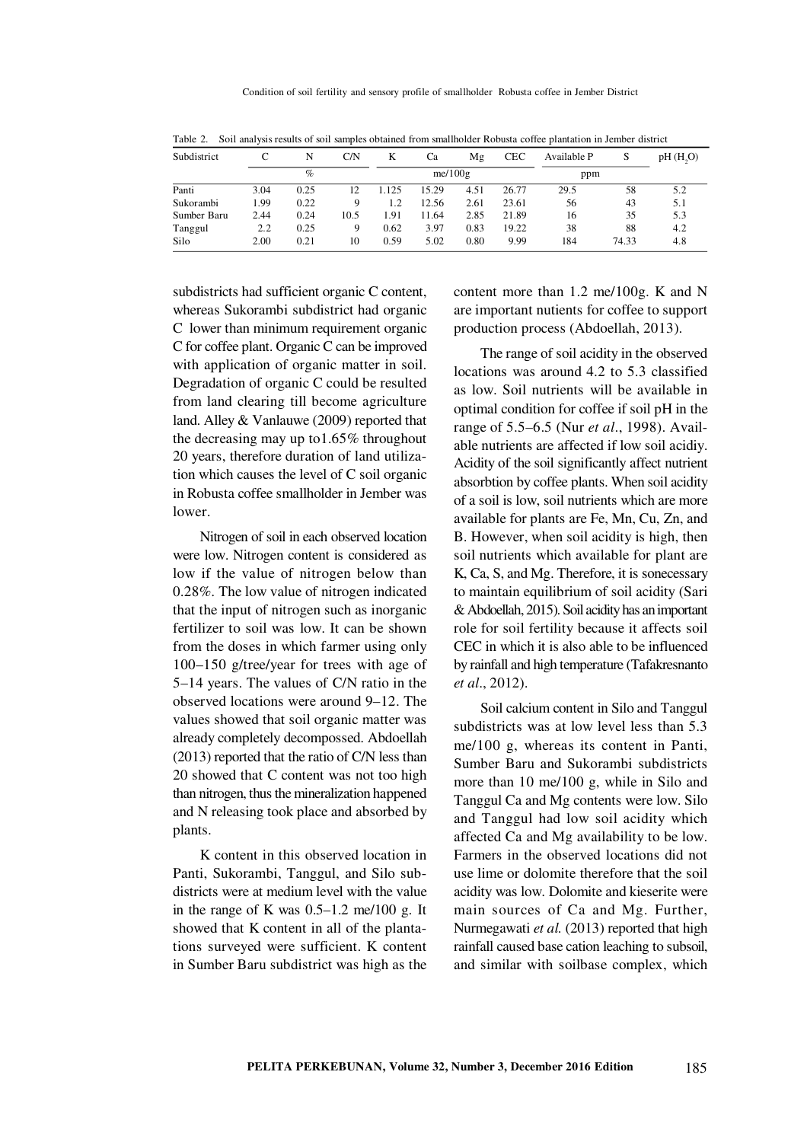| Subdistrict |      | N    | C/N  | K     | Ca         | Mg   | <b>CEC</b> | Available P | S     | pH(H, O) |
|-------------|------|------|------|-------|------------|------|------------|-------------|-------|----------|
|             | $\%$ |      |      |       | me/ $100g$ |      |            |             | ppm   |          |
| Panti       | 3.04 | 0.25 | 12   | 1.125 | 15.29      | 4.51 | 26.77      | 29.5        | 58    | 5.2      |
| Sukorambi   | 1.99 | 0.22 | 9    | 1.2   | 12.56      | 2.61 | 23.61      | 56          | 43    | 5.1      |
| Sumber Baru | 2.44 | 0.24 | 10.5 | 1.91  | 11.64      | 2.85 | 21.89      | 16          | 35    | 5.3      |
| Tanggul     | 2.2  | 0.25 | 9    | 0.62  | 3.97       | 0.83 | 19.22      | 38          | 88    | 4.2      |
| Silo        | 2.00 | 0.21 | 10   | 0.59  | 5.02       | 0.80 | 9.99       | 184         | 74.33 | 4.8      |

Table 2. Soil analysis results of soil samples obtained from smallholder Robusta coffee plantation in Jember district

subdistricts had sufficient organic C content, whereas Sukorambi subdistrict had organic C lower than minimum requirement organic C for coffee plant. Organic C can be improved with application of organic matter in soil. Degradation of organic C could be resulted from land clearing till become agriculture land. Alley & Vanlauwe (2009) reported that the decreasing may up to1.65% throughout 20 years, therefore duration of land utilization which causes the level of C soil organic in Robusta coffee smallholder in Jember was lower.

Nitrogen of soil in each observed location were low. Nitrogen content is considered as low if the value of nitrogen below than 0.28%. The low value of nitrogen indicated that the input of nitrogen such as inorganic fertilizer to soil was low. It can be shown from the doses in which farmer using only 100–150 g/tree/year for trees with age of 5–14 years. The values of C/N ratio in the observed locations were around 9–12. The values showed that soil organic matter was already completely decompossed. Abdoellah (2013) reported that the ratio of C/N less than 20 showed that C content was not too high than nitrogen, thus the mineralization happened and N releasing took place and absorbed by plants.

K content in this observed location in Panti, Sukorambi, Tanggul, and Silo subdistricts were at medium level with the value in the range of K was 0.5–1.2 me/100 g. It showed that K content in all of the plantations surveyed were sufficient. K content in Sumber Baru subdistrict was high as the content more than 1.2 me/100g. K and N are important nutients for coffee to support production process (Abdoellah, 2013).

The range of soil acidity in the observed locations was around 4.2 to 5.3 classified as low. Soil nutrients will be available in optimal condition for coffee if soil pH in the range of 5.5–6.5 (Nur *et al*., 1998). Available nutrients are affected if low soil acidiy. Acidity of the soil significantly affect nutrient absorbtion by coffee plants. When soil acidity of a soil is low, soil nutrients which are more available for plants are Fe, Mn, Cu, Zn, and B. However, when soil acidity is high, then soil nutrients which available for plant are K, Ca, S, and Mg. Therefore, it is sonecessary to maintain equilibrium of soil acidity (Sari & Abdoellah, 2015). Soil acidity has an important role for soil fertility because it affects soil CEC in which it is also able to be influenced by rainfall and high temperature (Tafakresnanto *et al*., 2012).

Soil calcium content in Silo and Tanggul subdistricts was at low level less than 5.3 me/100 g, whereas its content in Panti, Sumber Baru and Sukorambi subdistricts more than 10 me/100 g, while in Silo and Tanggul Ca and Mg contents were low. Silo and Tanggul had low soil acidity which affected Ca and Mg availability to be low. Farmers in the observed locations did not use lime or dolomite therefore that the soil acidity was low. Dolomite and kieserite were main sources of Ca and Mg. Further, Nurmegawati *et al.* (2013) reported that high rainfall caused base cation leaching to subsoil, and similar with soilbase complex, which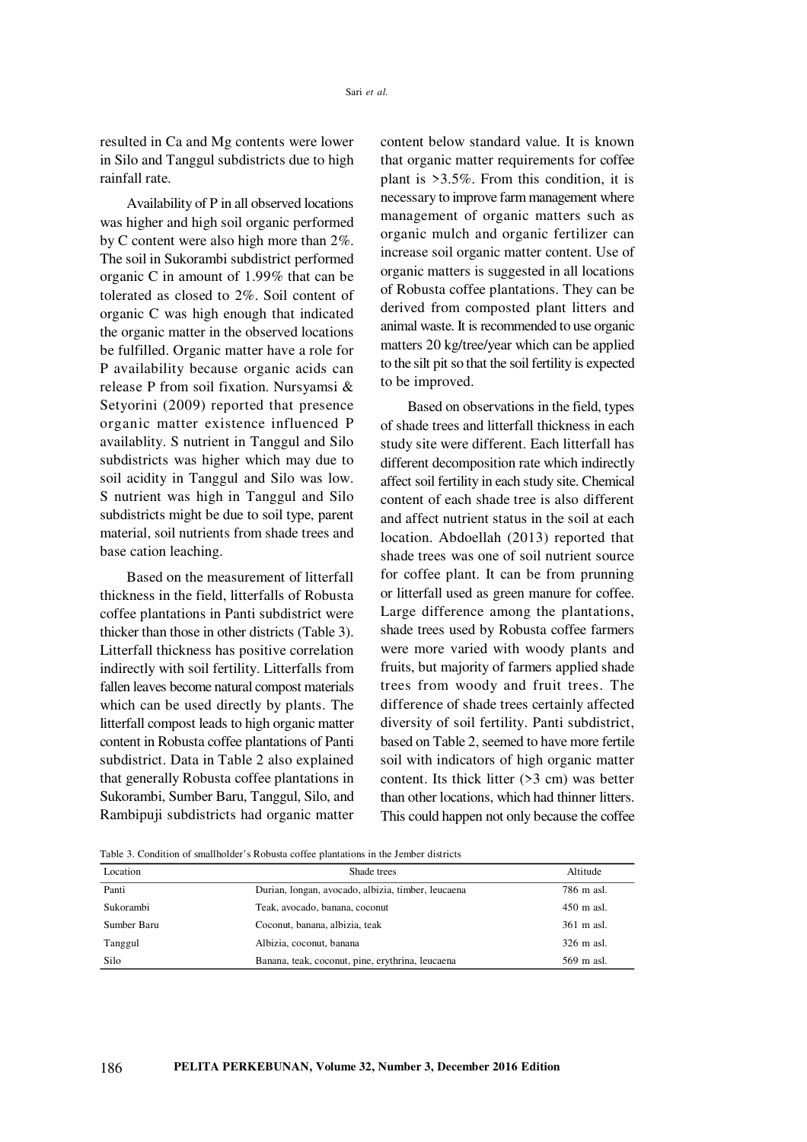resulted in Ca and Mg contents were lower in Silo and Tanggul subdistricts due to high rainfall rate.

Availability of P in all observed locations was higher and high soil organic performed by C content were also high more than 2%. The soil in Sukorambi subdistrict performed organic C in amount of 1.99% that can be tolerated as closed to 2%. Soil content of organic C was high enough that indicated the organic matter in the observed locations be fulfilled. Organic matter have a role for P availability because organic acids can release P from soil fixation. Nursyamsi & Setyorini (2009) reported that presence organic matter existence influenced P availablity. S nutrient in Tanggul and Silo subdistricts was higher which may due to soil acidity in Tanggul and Silo was low. S nutrient was high in Tanggul and Silo subdistricts might be due to soil type, parent material, soil nutrients from shade trees and base cation leaching.

Based on the measurement of litterfall thickness in the field, litterfalls of Robusta coffee plantations in Panti subdistrict were thicker than those in other districts (Table 3). Litterfall thickness has positive correlation indirectly with soil fertility. Litterfalls from fallen leaves become natural compost materials which can be used directly by plants. The litterfall compost leads to high organic matter content in Robusta coffee plantations of Panti subdistrict. Data in Table 2 also explained that generally Robusta coffee plantations in Sukorambi, Sumber Baru, Tanggul, Silo, and Rambipuji subdistricts had organic matter content below standard value. It is known that organic matter requirements for coffee plant is >3.5%. From this condition, it is necessary to improve farm management where management of organic matters such as organic mulch and organic fertilizer can increase soil organic matter content. Use of organic matters is suggested in all locations of Robusta coffee plantations. They can be derived from composted plant litters and animal waste. It is recommended to use organic matters 20 kg/tree/year which can be applied to the silt pit so that the soil fertility is expected to be improved.

Based on observations in the field, types of shade trees and litterfall thickness in each study site were different. Each litterfall has different decomposition rate which indirectly affect soil fertility in each study site. Chemical content of each shade tree is also different and affect nutrient status in the soil at each location. Abdoellah (2013) reported that shade trees was one of soil nutrient source for coffee plant. It can be from prunning or litterfall used as green manure for coffee. Large difference among the plantations, shade trees used by Robusta coffee farmers were more varied with woody plants and fruits, but majority of farmers applied shade trees from woody and fruit trees. The difference of shade trees certainly affected diversity of soil fertility. Panti subdistrict, based on Table 2, seemed to have more fertile soil with indicators of high organic matter content. Its thick litter (>3 cm) was better than other locations, which had thinner litters. This could happen not only because the coffee

Table 3. Condition of smallholder's Robusta coffee plantations in the Jember districts

| Location    | Shade trees                                        | Altitude             |
|-------------|----------------------------------------------------|----------------------|
| Panti       | Durian, longan, avocado, albizia, timber, leucaena | 786 m asl.           |
| Sukorambi   | Teak, avocado, banana, coconut                     | $450 \text{ m}$ asl. |
| Sumber Baru | Coconut, banana, albizia, teak                     | 361 m asl.           |
| Tanggul     | Albizia, coconut, banana                           | 326 m asl.           |
| Silo        | Banana, teak, coconut, pine, erythrina, leucaena   | 569 m asl.           |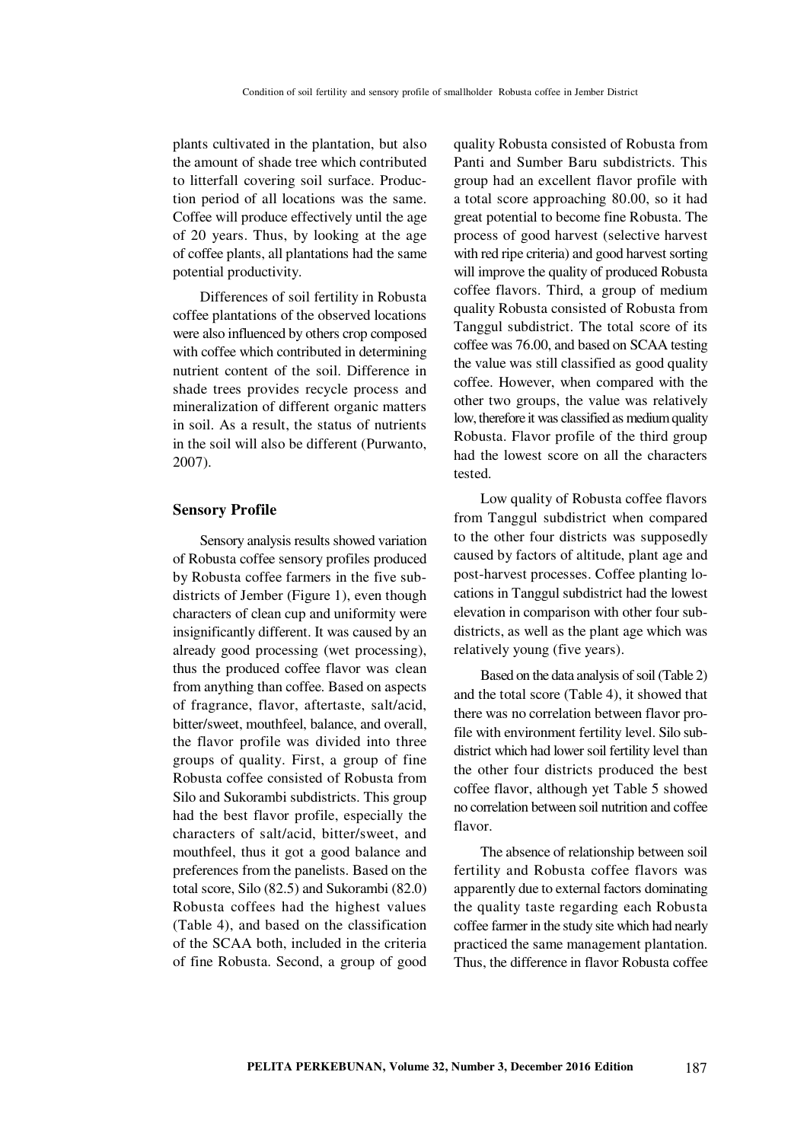plants cultivated in the plantation, but also the amount of shade tree which contributed to litterfall covering soil surface. Production period of all locations was the same. Coffee will produce effectively until the age of 20 years. Thus, by looking at the age of coffee plants, all plantations had the same potential productivity.

Differences of soil fertility in Robusta coffee plantations of the observed locations were also influenced by others crop composed with coffee which contributed in determining nutrient content of the soil. Difference in shade trees provides recycle process and mineralization of different organic matters in soil. As a result, the status of nutrients in the soil will also be different (Purwanto, 2007).

#### **Sensory Profile**

Sensory analysis results showed variation of Robusta coffee sensory profiles produced by Robusta coffee farmers in the five subdistricts of Jember (Figure 1), even though characters of clean cup and uniformity were insignificantly different. It was caused by an already good processing (wet processing), thus the produced coffee flavor was clean from anything than coffee. Based on aspects of fragrance, flavor, aftertaste, salt/acid, bitter/sweet, mouthfeel, balance, and overall, the flavor profile was divided into three groups of quality. First, a group of fine Robusta coffee consisted of Robusta from Silo and Sukorambi subdistricts. This group had the best flavor profile, especially the characters of salt/acid, bitter/sweet, and mouthfeel, thus it got a good balance and preferences from the panelists. Based on the total score, Silo (82.5) and Sukorambi (82.0) Robusta coffees had the highest values (Table 4), and based on the classification of the SCAA both, included in the criteria of fine Robusta. Second, a group of good

quality Robusta consisted of Robusta from Panti and Sumber Baru subdistricts. This group had an excellent flavor profile with a total score approaching 80.00, so it had great potential to become fine Robusta. The process of good harvest (selective harvest with red ripe criteria) and good harvest sorting will improve the quality of produced Robusta coffee flavors. Third, a group of medium quality Robusta consisted of Robusta from Tanggul subdistrict. The total score of its coffee was 76.00, and based on SCAA testing the value was still classified as good quality coffee. However, when compared with the other two groups, the value was relatively low, therefore it was classified as medium quality Robusta. Flavor profile of the third group had the lowest score on all the characters tested.

Low quality of Robusta coffee flavors from Tanggul subdistrict when compared to the other four districts was supposedly caused by factors of altitude, plant age and post-harvest processes. Coffee planting locations in Tanggul subdistrict had the lowest elevation in comparison with other four subdistricts, as well as the plant age which was relatively young (five years).

Based on the data analysis of soil (Table 2) and the total score (Table 4), it showed that there was no correlation between flavor profile with environment fertility level. Silo subdistrict which had lower soil fertility level than the other four districts produced the best coffee flavor, although yet Table 5 showed no correlation between soil nutrition and coffee flavor.

The absence of relationship between soil fertility and Robusta coffee flavors was apparently due to external factors dominating the quality taste regarding each Robusta coffee farmer in the study site which had nearly practiced the same management plantation. Thus, the difference in flavor Robusta coffee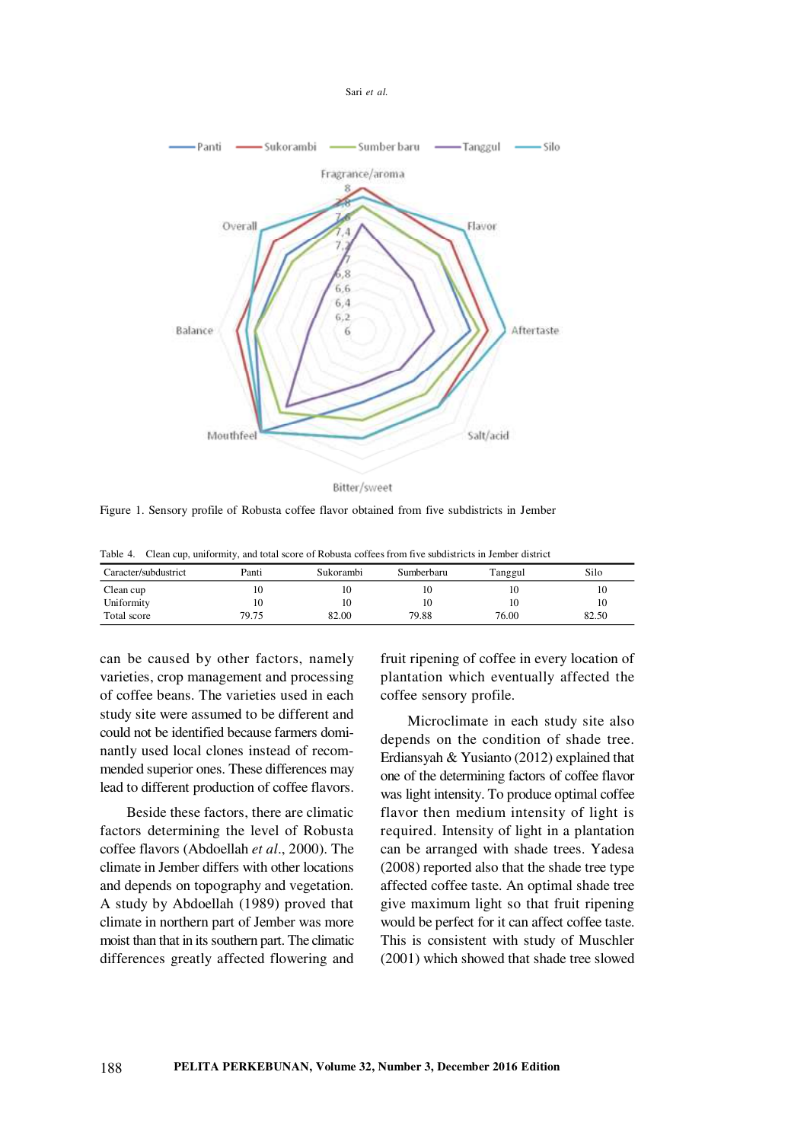



Figure 1. Sensory profile of Robusta coffee flavor obtained from five subdistricts in Jember

Table 4. Clean cup, uniformity, and total score of Robusta coffees from five subdistricts in Jember district

| Caracter/subdustrict | Panti | Sukorambi | Sumberbaru | Tanggul | Silo  |
|----------------------|-------|-----------|------------|---------|-------|
| Clean cup            | 10    |           | 10         | 10      | 10    |
| Uniformity           | 10    |           | 10         | 10      | 10    |
| Total score          | 79.75 | 82.00     | 79.88      | 76.00   | 82.50 |

can be caused by other factors, namely varieties, crop management and processing of coffee beans. The varieties used in each study site were assumed to be different and could not be identified because farmers dominantly used local clones instead of recommended superior ones. These differences may lead to different production of coffee flavors.

Beside these factors, there are climatic factors determining the level of Robusta coffee flavors (Abdoellah *et al*., 2000). The climate in Jember differs with other locations and depends on topography and vegetation. A study by Abdoellah (1989) proved that climate in northern part of Jember was more moist than that in its southern part. The climatic differences greatly affected flowering and fruit ripening of coffee in every location of plantation which eventually affected the coffee sensory profile.

Microclimate in each study site also depends on the condition of shade tree. Erdiansyah & Yusianto (2012) explained that one of the determining factors of coffee flavor was light intensity. To produce optimal coffee flavor then medium intensity of light is required. Intensity of light in a plantation can be arranged with shade trees. Yadesa (2008) reported also that the shade tree type affected coffee taste. An optimal shade tree give maximum light so that fruit ripening would be perfect for it can affect coffee taste. This is consistent with study of Muschler (2001) which showed that shade tree slowed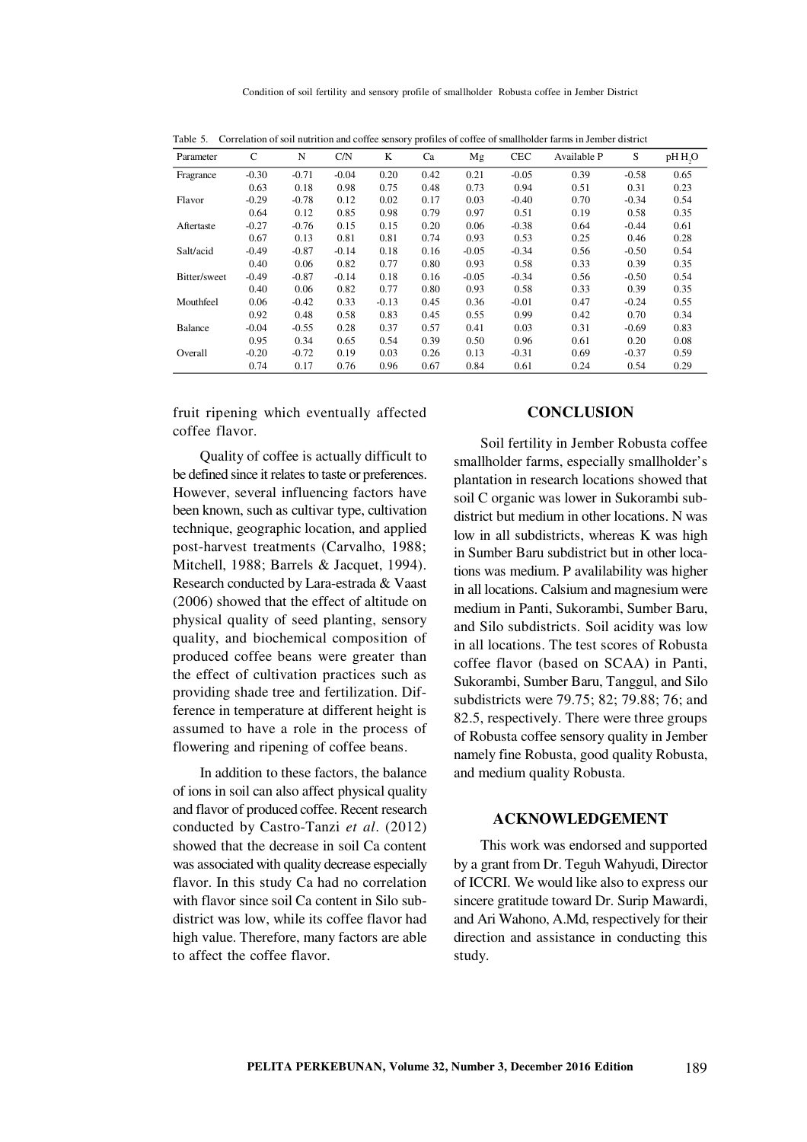| $\frac{1}{2}$  |         |         |         |         |      |         |            |             |         |                     |
|----------------|---------|---------|---------|---------|------|---------|------------|-------------|---------|---------------------|
| Parameter      | C       | N       | C/N     | K       | Ca   | Mg      | <b>CEC</b> | Available P | S       | pH H <sub>2</sub> O |
| Fragrance      | $-0.30$ | $-0.71$ | $-0.04$ | 0.20    | 0.42 | 0.21    | $-0.05$    | 0.39        | $-0.58$ | 0.65                |
|                | 0.63    | 0.18    | 0.98    | 0.75    | 0.48 | 0.73    | 0.94       | 0.51        | 0.31    | 0.23                |
| Flavor         | $-0.29$ | $-0.78$ | 0.12    | 0.02    | 0.17 | 0.03    | $-0.40$    | 0.70        | $-0.34$ | 0.54                |
|                | 0.64    | 0.12    | 0.85    | 0.98    | 0.79 | 0.97    | 0.51       | 0.19        | 0.58    | 0.35                |
| Aftertaste     | $-0.27$ | $-0.76$ | 0.15    | 0.15    | 0.20 | 0.06    | $-0.38$    | 0.64        | $-0.44$ | 0.61                |
|                | 0.67    | 0.13    | 0.81    | 0.81    | 0.74 | 0.93    | 0.53       | 0.25        | 0.46    | 0.28                |
| Salt/acid      | $-0.49$ | $-0.87$ | $-0.14$ | 0.18    | 0.16 | $-0.05$ | $-0.34$    | 0.56        | $-0.50$ | 0.54                |
|                | 0.40    | 0.06    | 0.82    | 0.77    | 0.80 | 0.93    | 0.58       | 0.33        | 0.39    | 0.35                |
| Bitter/sweet   | $-0.49$ | $-0.87$ | $-0.14$ | 0.18    | 0.16 | $-0.05$ | $-0.34$    | 0.56        | $-0.50$ | 0.54                |
|                | 0.40    | 0.06    | 0.82    | 0.77    | 0.80 | 0.93    | 0.58       | 0.33        | 0.39    | 0.35                |
| Mouthfeel      | 0.06    | $-0.42$ | 0.33    | $-0.13$ | 0.45 | 0.36    | $-0.01$    | 0.47        | $-0.24$ | 0.55                |
|                | 0.92    | 0.48    | 0.58    | 0.83    | 0.45 | 0.55    | 0.99       | 0.42        | 0.70    | 0.34                |
| <b>Balance</b> | $-0.04$ | $-0.55$ | 0.28    | 0.37    | 0.57 | 0.41    | 0.03       | 0.31        | $-0.69$ | 0.83                |
|                | 0.95    | 0.34    | 0.65    | 0.54    | 0.39 | 0.50    | 0.96       | 0.61        | 0.20    | 0.08                |
| Overall        | $-0.20$ | $-0.72$ | 0.19    | 0.03    | 0.26 | 0.13    | $-0.31$    | 0.69        | $-0.37$ | 0.59                |
|                | 0.74    | 0.17    | 0.76    | 0.96    | 0.67 | 0.84    | 0.61       | 0.24        | 0.54    | 0.29                |

Table 5. Correlation of soil nutrition and coffee sensory profiles of coffee of smallholder farms in Jember district

fruit ripening which eventually affected coffee flavor.

Quality of coffee is actually difficult to be defined since it relates to taste or preferences. However, several influencing factors have been known, such as cultivar type, cultivation technique, geographic location, and applied post-harvest treatments (Carvalho, 1988; Mitchell, 1988; Barrels & Jacquet, 1994). Research conducted by Lara-estrada & Vaast (2006) showed that the effect of altitude on physical quality of seed planting, sensory quality, and biochemical composition of produced coffee beans were greater than the effect of cultivation practices such as providing shade tree and fertilization. Difference in temperature at different height is assumed to have a role in the process of flowering and ripening of coffee beans.

In addition to these factors, the balance of ions in soil can also affect physical quality and flavor of produced coffee. Recent research conducted by Castro-Tanzi *et al*. (2012) showed that the decrease in soil Ca content was associated with quality decrease especially flavor. In this study Ca had no correlation with flavor since soil Ca content in Silo subdistrict was low, while its coffee flavor had high value. Therefore, many factors are able to affect the coffee flavor.

# **CONCLUSION**

Soil fertility in Jember Robusta coffee smallholder farms, especially smallholder's plantation in research locations showed that soil C organic was lower in Sukorambi subdistrict but medium in other locations. N was low in all subdistricts, whereas K was high in Sumber Baru subdistrict but in other locations was medium. P avalilability was higher in all locations. Calsium and magnesium were medium in Panti, Sukorambi, Sumber Baru, and Silo subdistricts. Soil acidity was low in all locations. The test scores of Robusta coffee flavor (based on SCAA) in Panti, Sukorambi, Sumber Baru, Tanggul, and Silo subdistricts were 79.75; 82; 79.88; 76; and 82.5, respectively. There were three groups of Robusta coffee sensory quality in Jember namely fine Robusta, good quality Robusta, and medium quality Robusta.

#### **ACKNOWLEDGEMENT**

This work was endorsed and supported by a grant from Dr. Teguh Wahyudi, Director of ICCRI. We would like also to express our sincere gratitude toward Dr. Surip Mawardi, and Ari Wahono, A.Md, respectively for their direction and assistance in conducting this study.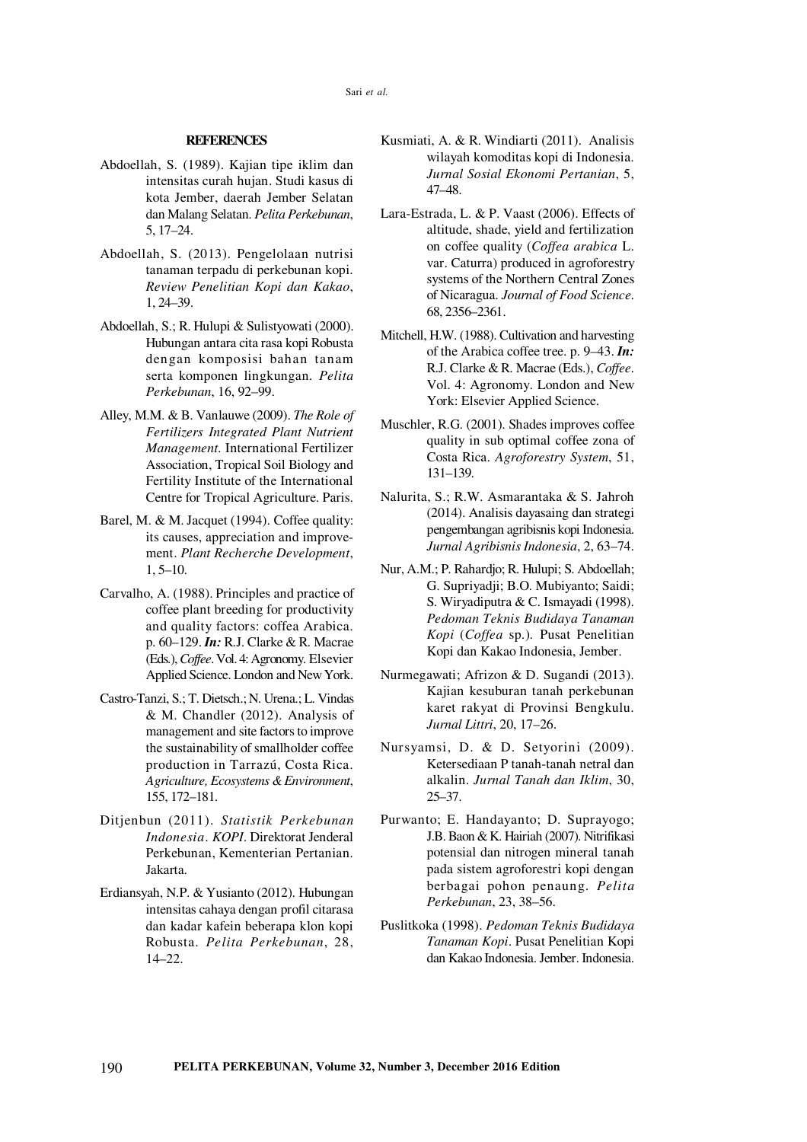#### **REFERENCES**

- Abdoellah, S. (1989). Kajian tipe iklim dan intensitas curah hujan. Studi kasus di kota Jember, daerah Jember Selatan dan Malang Selatan. *Pelita Perkebunan*, 5, 17–24.
- Abdoellah, S. (2013). Pengelolaan nutrisi tanaman terpadu di perkebunan kopi. *Review Penelitian Kopi dan Kakao*, 1, 24–39.
- Abdoellah, S.; R. Hulupi & Sulistyowati (2000). Hubungan antara cita rasa kopi Robusta dengan komposisi bahan tanam serta komponen lingkungan. *Pelita Perkebunan*, 16, 92–99.
- Alley, M.M. & B. Vanlauwe (2009). *The Role of Fertilizers Integrated Plant Nutrient Management.* International Fertilizer Association, Tropical Soil Biology and Fertility Institute of the International Centre for Tropical Agriculture. Paris.
- Barel, M. & M. Jacquet (1994). Coffee quality: its causes, appreciation and improvement. *Plant Recherche Development*, 1, 5–10.
- Carvalho, A. (1988). Principles and practice of coffee plant breeding for productivity and quality factors: coffea Arabica. p. 60–129. *In:* R.J. Clarke & R. Macrae (Eds.), *Coffee*. Vol. 4: Agronomy. Elsevier Applied Science. London and New York.
- Castro-Tanzi, S.; T. Dietsch.; N. Urena.; L. Vindas & M. Chandler (2012). Analysis of management and site factors to improve the sustainability of smallholder coffee production in Tarrazú, Costa Rica. *Agriculture, Ecosystems & Environment*, 155, 172–181.
- Ditjenbun (2011). *Statistik Perkebunan Indonesia*. *KOPI*. Direktorat Jenderal Perkebunan, Kementerian Pertanian. Jakarta.
- Erdiansyah, N.P. & Yusianto (2012). Hubungan intensitas cahaya dengan profil citarasa dan kadar kafein beberapa klon kopi Robusta. *Pelita Perkebunan*, 28, 14–22.
- Kusmiati, A. & R. Windiarti (2011). Analisis wilayah komoditas kopi di Indonesia. *Jurnal Sosial Ekonomi Pertanian*, 5, 47–48.
- Lara-Estrada, L. & P. Vaast (2006). Effects of altitude, shade, yield and fertilization on coffee quality (*Coffea arabica* L. var. Caturra) produced in agroforestry systems of the Northern Central Zones of Nicaragua. *Journal of Food Science*. 68, 2356–2361.
- Mitchell, H.W. (1988). Cultivation and harvesting of the Arabica coffee tree. p. 9–43. *In:* R.J. Clarke & R. Macrae (Eds.), *Coffee*. Vol. 4: Agronomy. London and New York: Elsevier Applied Science.
- Muschler, R.G. (2001). Shades improves coffee quality in sub optimal coffee zona of Costa Rica. *Agroforestry System*, 51, 131–139.
- Nalurita, S.; R.W. Asmarantaka & S. Jahroh (2014). Analisis dayasaing dan strategi pengembangan agribisnis kopi Indonesia. *Jurnal Agribisnis Indonesia*, 2, 63–74.
- Nur, A.M.; P. Rahardjo; R. Hulupi; S. Abdoellah; G. Supriyadji; B.O. Mubiyanto; Saidi; S. Wiryadiputra & C. Ismayadi (1998). *Pedoman Teknis Budidaya Tanaman Kopi* (*Coffea* sp.)*.* Pusat Penelitian Kopi dan Kakao Indonesia, Jember.
- Nurmegawati; Afrizon & D. Sugandi (2013). Kajian kesuburan tanah perkebunan karet rakyat di Provinsi Bengkulu. *Jurnal Littri*, 20, 17–26.
- Nursyamsi, D. & D. Setyorini (2009). Ketersediaan P tanah-tanah netral dan alkalin. *Jurnal Tanah dan Iklim*, 30, 25–37.
- Purwanto; E. Handayanto; D. Suprayogo; J.B. Baon & K. Hairiah (2007). Nitrifikasi potensial dan nitrogen mineral tanah pada sistem agroforestri kopi dengan berbagai pohon penaung. *Pelita Perkebunan*, 23, 38–56.
- Puslitkoka (1998). *Pedoman Teknis Budidaya Tanaman Kopi*. Pusat Penelitian Kopi dan Kakao Indonesia. Jember. Indonesia.